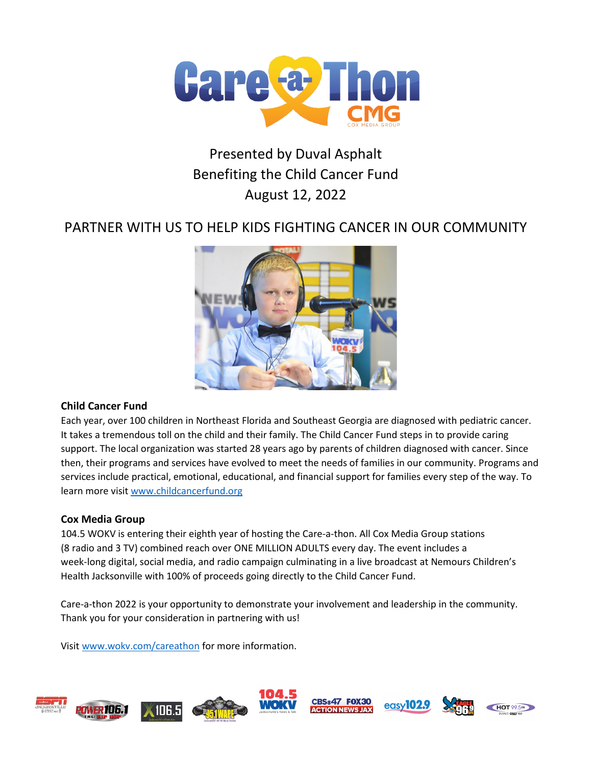

# Presented by Duval Asphalt Benefiting the Child Cancer Fund August 12, 2022

# PARTNER WITH US TO HELP KIDS FIGHTING CANCER IN OUR COMMUNITY



### **Child Cancer Fund**

Each year, over 100 children in Northeast Florida and Southeast Georgia are diagnosed with pediatric cancer. It takes a tremendous toll on the child and their family. The Child Cancer Fund steps in to provide caring support. The local organization was started 28 years ago by parents of children diagnosed with cancer. Since then, their programs and services have evolved to meet the needs of families in our community. Programs and services include practical, emotional, educational, and financial support for families every step of the way. To learn more visit [www.childcancerfund.org](http://www.childcancerfund.org/) 

### **Cox Media Group**

104.5 WOKV is entering their eighth year of hosting the Care-a-thon. All Cox Media Group stations (8 radio and 3 TV) combined reach over ONE MILLION ADULTS every day. The event includes a week-long digital, social media, and radio campaign culminating in a live broadcast at Nemours Children's Health Jacksonville with 100% of proceeds going directly to the Child Cancer Fund.

Care-a-thon 2022 is your opportunity to demonstrate your involvement and leadership in the community. Thank you for your consideration in partnering with us!

Visit [www.wokv.com/careathon](http://www.wokv.com/careathon) for more information.

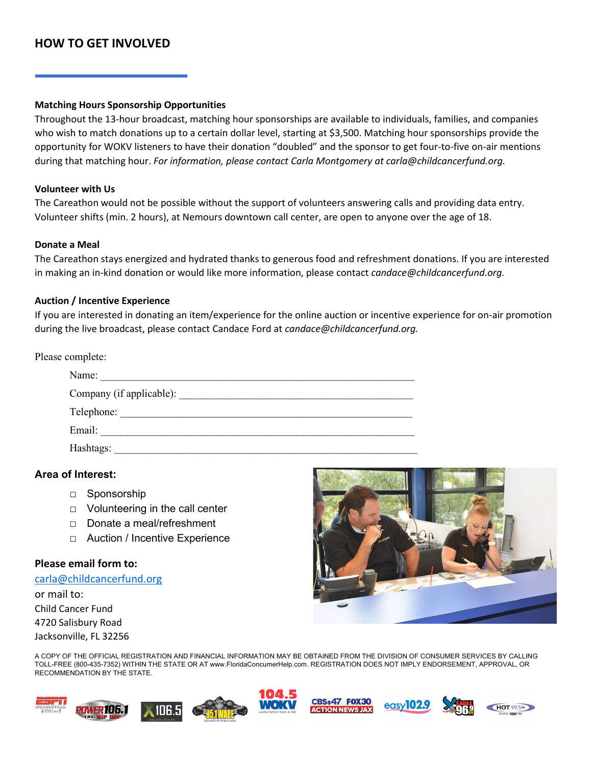# **HOW TO GET INVOLVED**

#### **Matching Hours Sponsorship Opportunities**

Throughout the 13-hour broadcast, matching hour sponsorships are available to individuals, families, and companies who wish to match donations up to a certain dollar level, starting at \$3,500. Matching hour sponsorships provide the opportunity for WOKV listeners to have their donation "doubled" and the sponsor to get four-to-five on-air mentions during that matching hour. *For information, please contact Carla Montgomery at carla@childcancerfund.org.*

#### **Volunteer with Us**

The Careathon would not be possible without the support of volunteers answering calls and providing data entry. Volunteer shifts (min. 2 hours), at Nemours downtown call center, are open to anyone over the age of 18.

#### **Donate a Meal**

The Careathon stays energized and hydrated thanks to generous food and refreshment donations. If you are interested in making an in-kind donation or would like more information, please contact *candace@childcancerfund.org.* 

#### **Auction / Incentive Experience**

If you are interested in donating an item/experience for the online auction or incentive experience for on-air promotion during the live broadcast, please contact Candace Ford at *candace@childcancerfund.org.*

Please complete:

| Company (if applicable): |  |  |
|--------------------------|--|--|
| Telephone:               |  |  |
| Email:                   |  |  |

#### **Area of Interest:**

- □ Sponsorship
- $\Box$  Volunteering in the call center
- □ Donate a meal/refreshment
- □ Auction / Incentive Experience

#### **Please email form to:**

[carla@childcancerfund.org](mailto:carla@childcancerfund.org) or mail to:

Child Cancer Fund 4720 Salisbury Road Jacksonville, FL 32256



A COPY OF THE OFFICIAL REGISTRATION AND FINANCIAL INFORMATION MAY BE OBTAINED FROM THE DIVISION OF CONSUMER SERVICES BY CALLING TOLL-FREE (800-435-7352) WITHIN THE STATE OR AT www.FloridaConcumerHelp.com. REGISTRATION DOES NOT IMPLY ENDORSEMENT, APPROVAL, OR RECOMMENDATION BY THE STATE.